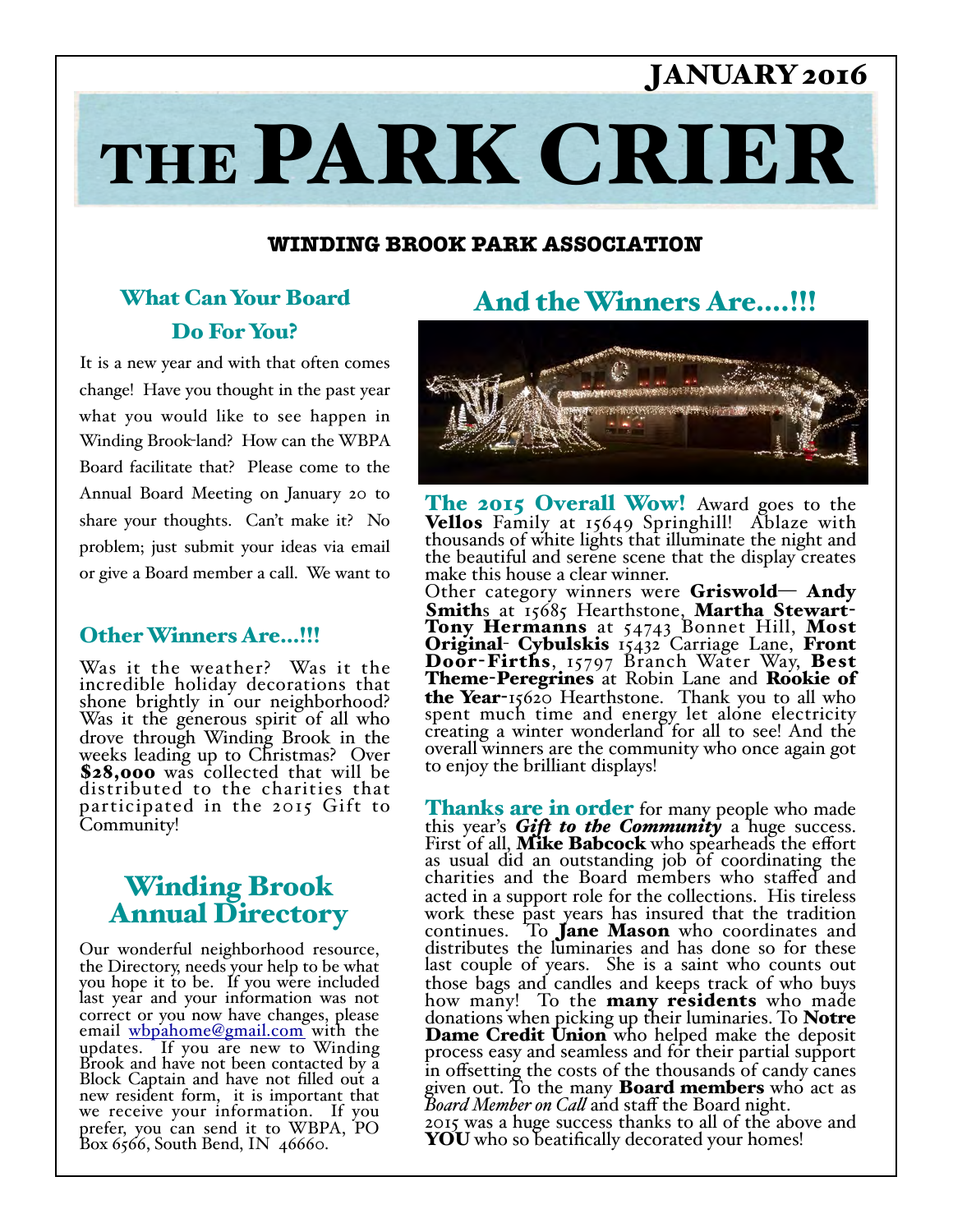# JANUARY 2016

# THE PARK CRIER

#### **WINDING BROOK PARK ASSOCIATION**

## What Can Your Board Do For You?

It is a new year and with that often comes change! Have you thought in the past year what you would like to see happen in Winding Brook-land? How can the WBPA Board facilitate that? Please come to the Annual Board Meeting on January 20 to share your thoughts. Can't make it? No problem; just submit your ideas via email or give a Board member a call. We want to

#### Other Winners Are…!!!

Was it the weather? Was it the incredible holiday decorations that shone brightly in our neighborhood? Was it the generous spirit of all who drove through Winding Brook in the weeks leading up to Christmas? Over \$28,000 was collected that will be distributed to the charities that participated in the 2015 Gift to Community!

## Winding Brook Annual Directory

Our wonderful neighborhood resource, the Directory, needs your help to be what you hope it to be. If you were included last year and your information was not correct or you now have changes, please email whpahome@gmail.com with the updates. If you are new to Winding Brook and have not been contacted by a Block Captain and have not filled out a new resident form, it is important that we receive your information. If you prefer, you can send it to WBPA, PO Box 6566, South Bend, IN 46660.

## And the Winners Are….!!!



The 2015 Overall Wow! Award goes to the Vellos Family at 15649 Springhill! Ablaze with thousands of white lights that illuminate the night and the beautiful and serene scene that the display creates make this house a clear winner.

Other category winners were  $Griswold - Andy$ Smiths at 15685 Hearthstone, Martha Stewart-<br>Tony Hermanns at 54743 Bonnet Hill, Most Original- Cybulskis 15432 Carriage Lane, Front Door-Firths, 15797 Branch Water Way, Best **Theme-Peregrines** at Robin Lane and **Rookie of** the Year-15620 Hearthstone. Thank you to all who spent much time and energy let alone electricity creating a winter wonderland for all to see! And the overall winners are the community who once again got to enjoy the brilliant displays!

Thanks are in order for many people who made this year's *Gift to the Community* a huge success. First of all, Mike Babcock who spearheads the effort as usual did an outstanding job of coordinating the charities and the Board members who staffed and acted in a support role for the collections. His tireless work these past years has insured that the tradition continues. To Jane Mason who coordinates and distributes the luminaries and has done so for these last couple of years. She is a saint who counts out those bags and candles and keeps track of who buys how many! To the many residents who made donations when picking up their luminaries. To Notre **Dame Credit Union** who helped make the deposit process easy and seamless and for their partial support in offsetting the costs of the thousands of candy canes given out. To the many **Board members** who act as *Board Member on Call* and staff the Board night. 2015 was a huge success thanks to all of the above and

YOU who so beatifically decorated your homes!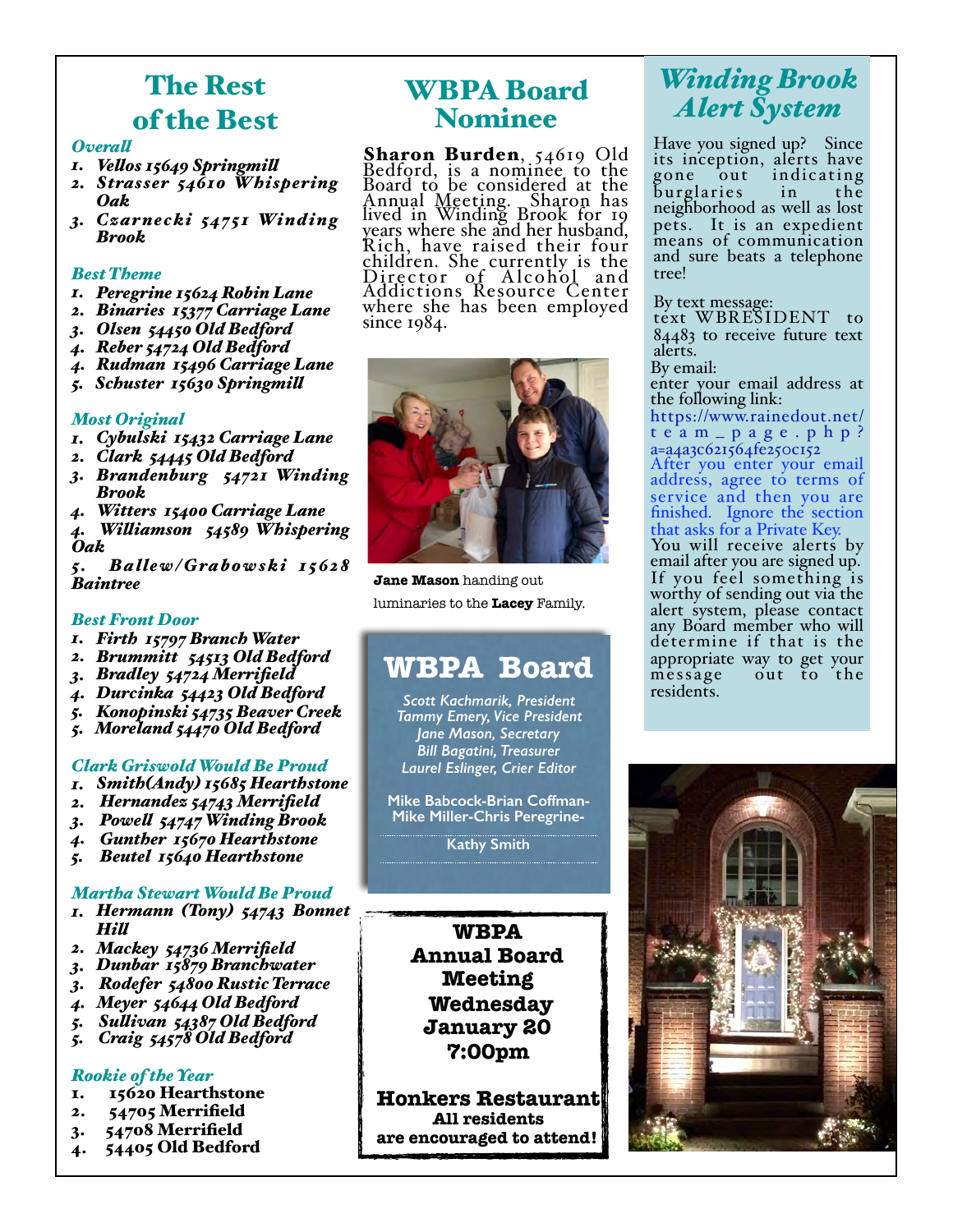# The Rest of the Best

#### *Overal*

- *1. Velos 15649 Springmil*
- *2. Strasser 54610 Whispering Oak*
- *3. Cza r necki 54751 Winding Brook*

#### *Best Theme*

- *1. Peregrine 15624 Robin Lane*
- *2. Binaries 15377 Carriage Lane*
- *3. Olsen 54450 Old Bedford*
- *4. Reber 54724 Old Bedford*
- *4. Rudman 15496 Carriage Lane*
- *5. Schuster 15630 Springmil*

#### *Most Original*

- *1. Cybulski 15432 Carriage Lane*
- *2. Clark 54445 Old Bedford*
- *3. Brandenburg 54721 Winding Brook*
- *4. Witters 15400 Carriage Lane*
- *4. Wiliamson 54589 Whispering Oak*

*5. B a lle w / G ra b o w s k i 1 5 62 8 Baintree* 

#### *Best Front Door*

- *1. Firth 15797 Branch Water*
- *2. Brummitt 54513 Old Bedford*
- *3. Bradley 54724 Merrifield*
- *4. Durcinka 54423 Old Bedford*
- *5. Konopinski 54735 Beaver Creek*
- *5. Moreland 54470 Old Bedford*

#### *Clark Griswold Would Be Proud*

- *1. Smith(Andy) 15685 Hearthstone*
- *2. Hernandez 54743 Merrifield*
- *3. Powel 54747 Winding Brook*
- *4. Gunther 15670 Hearthstone*
- *5. Beutel 15640 Hearthstone*

#### *Martha Stewart Would Be Proud*

- *1. Hermann (Tony) 54743 Bonnet Hil*
- *2. Mackey 54736 Merrifield*
- *3. Dunbar 15879 Branchwater*
- *3. Rodefer 54800 Rustic Terrace*
- *4. Meyer 54644 Old Bedford*
- *5. Sulivan 54387 Old Bedford*
- *5. Craig 54578 Old Bedford*

#### *Rookie of the Year*

- 1. 15620 Hearthstone
- 2. 54705 Merrifield
- 3. 54708 Merrifield
- 4. 54405 Old Bedford

## WBPA Board Nominee

**Sharon Burden**, 54619 Old<br>Bedford, is a nominee to the Board to be considered at the Annual Meeting. Sharon has lived in Winding Brook for 19 years where she and her husband, Rich, have raised their four children. She currently is the Director of Alcohol and Addictions Resource Center where she has been employed since 1984.



**Jane Mason** handing out luminaries to the **Lacey** Family.

## **WBPA Board**

*Scott Kachmarik, President Tammy Emery, Vice President Jane Mason, Secretary Bill Bagatini, Treasurer Laurel Eslinger, Crier Editor* 

**Mike Babcock-Brian Coffman-Mike Miller-Chris Peregrine-**

**Kathy Smith**

**WBPA Annual Board Meeting Wednesday January 20 7:00pm** 

**Honkers Restaurant All residents are encouraged to attend!**

## *Winding Brook Alert System*

Have you signed up? Since its inception, alerts have gone out indicating burglaries in the neighborhood as well as lost pets. It is an expedient means of communication and sure beats a telephone tree!

#### By text message:

text WBRESIDENT to 84483 to receive future text alerts.

By email:

residents.

enter your email address at the following link:

[https://www.rainedout.net/](https://www.rainedout.net/team_page.php?a=a4a3c621564fe250c152) team\_page.php? a=a4a3c621564fe250c152 After you enter your email address, agree to terms of service and then you are finished. Ignore the section that asks for a Private Key. You will receive alerts by email after you are signed up. If you feel something is worthy of sending out via the alert system, please contact any Board member who will determine if that is the appropriate way to get your out to the

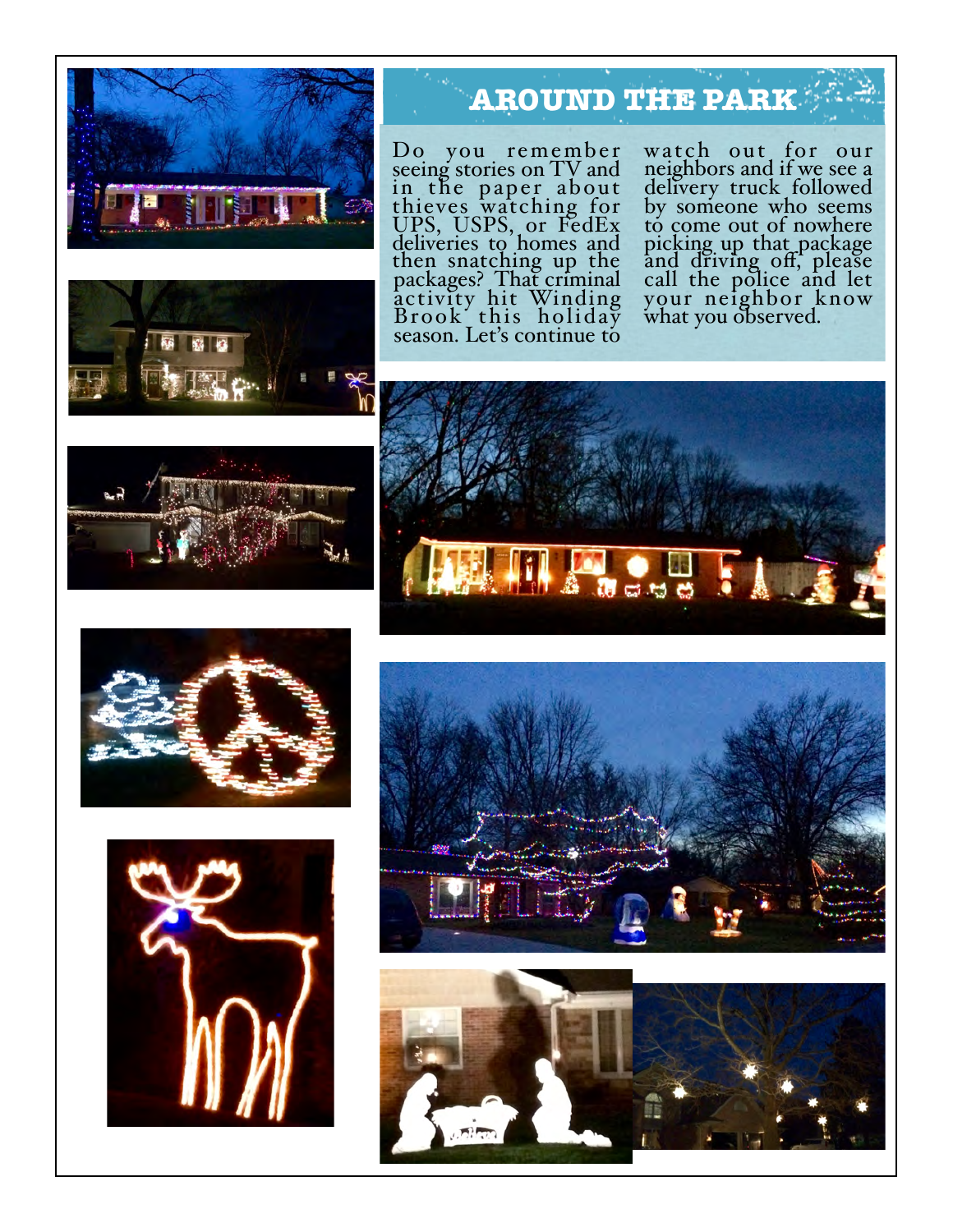



# **AROUND THE PARK**

Do you remember seeing stories on TV and in the paper about thieves watching for UPS, USPS, or FedEx deliveries to homes and then snatching up the packages? That criminal activity hit Winding Brook this holiday season. Let's continue to

watch out for our neighbors and if we see a delivery truck followed by someone who seems to come out of nowhere picking up that package and driving off, please<br>call the police and let your neighbor know what you observed.